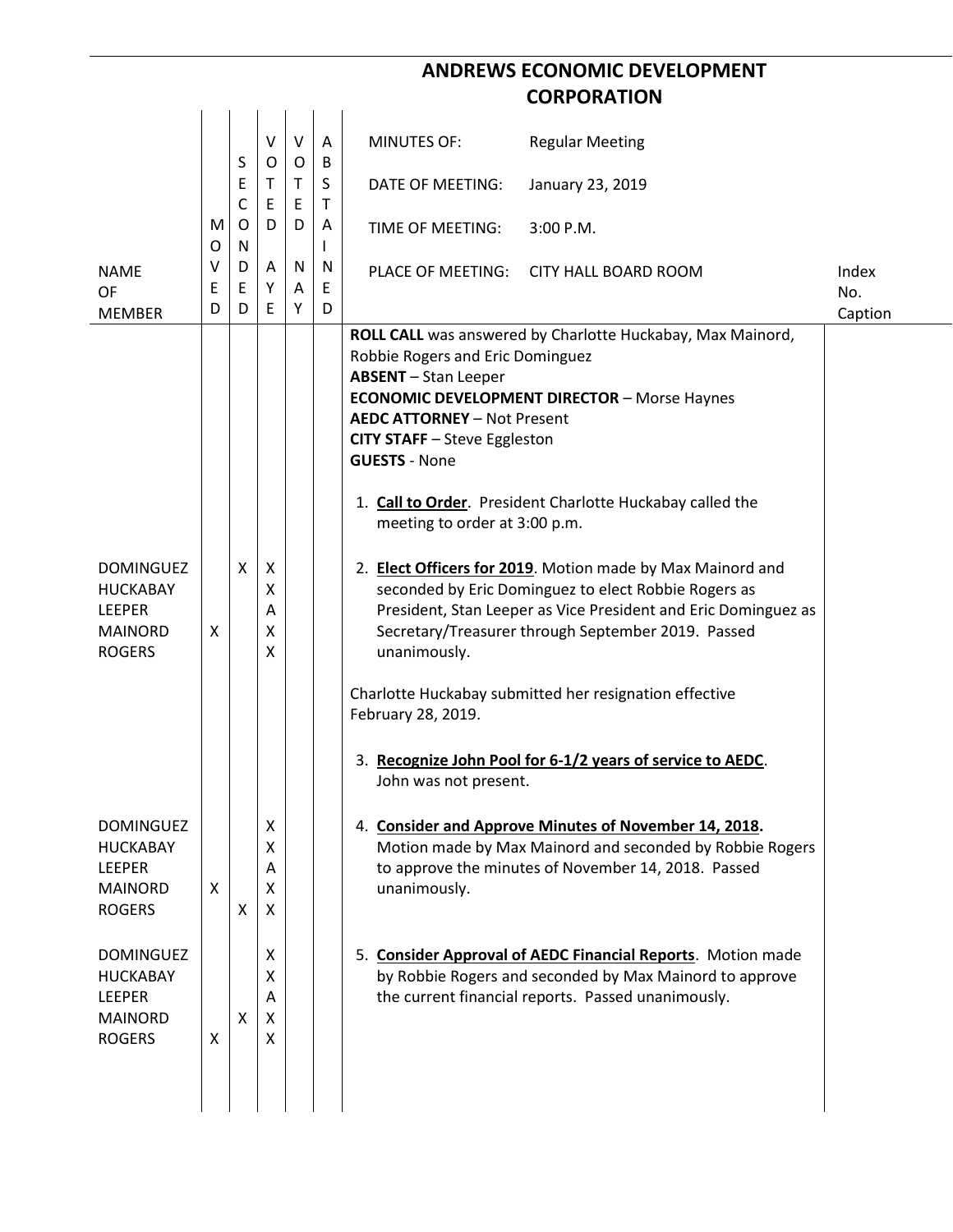## **ANDREWS ECONOMIC DEVELOPMENT CORPORATION**

|                                                                                         |                  | S                     | V<br>O                | $\vee$<br>O | A<br>B            | <b>MINUTES OF:</b>                                                                                                                                                                                                                                            | <b>Regular Meeting</b>                                                                                                                                                                                                                                                                                                                                                                                                                                                                                                                               |                         |
|-----------------------------------------------------------------------------------------|------------------|-----------------------|-----------------------|-------------|-------------------|---------------------------------------------------------------------------------------------------------------------------------------------------------------------------------------------------------------------------------------------------------------|------------------------------------------------------------------------------------------------------------------------------------------------------------------------------------------------------------------------------------------------------------------------------------------------------------------------------------------------------------------------------------------------------------------------------------------------------------------------------------------------------------------------------------------------------|-------------------------|
|                                                                                         |                  | E<br>C                | Τ<br>E                | T.<br>E     | S<br>$\mathsf{T}$ | DATE OF MEETING:                                                                                                                                                                                                                                              | January 23, 2019                                                                                                                                                                                                                                                                                                                                                                                                                                                                                                                                     |                         |
|                                                                                         | М<br>O           | O<br>N                | D                     | D           | A                 | TIME OF MEETING:                                                                                                                                                                                                                                              | $3:00$ P.M.                                                                                                                                                                                                                                                                                                                                                                                                                                                                                                                                          |                         |
| <b>NAME</b><br>OF<br><b>MEMBER</b>                                                      | $\vee$<br>E<br>D | D<br>$\mathsf E$<br>D | A<br>Υ<br>E           | N<br>A<br>Y | N<br>E<br>D       |                                                                                                                                                                                                                                                               | PLACE OF MEETING: CITY HALL BOARD ROOM                                                                                                                                                                                                                                                                                                                                                                                                                                                                                                               | Index<br>No.<br>Caption |
| <b>DOMINGUEZ</b><br><b>HUCKABAY</b><br><b>LEEPER</b><br><b>MAINORD</b><br><b>ROGERS</b> | X                | X                     | X<br>Χ<br>Α<br>x<br>x |             |                   | Robbie Rogers and Eric Dominguez<br><b>ABSENT</b> - Stan Leeper<br><b>AEDC ATTORNEY - Not Present</b><br>CITY STAFF - Steve Eggleston<br><b>GUESTS - None</b><br>meeting to order at 3:00 p.m.<br>unanimously.<br>February 28, 2019.<br>John was not present. | ROLL CALL was answered by Charlotte Huckabay, Max Mainord,<br><b>ECONOMIC DEVELOPMENT DIRECTOR - Morse Haynes</b><br>1. Call to Order. President Charlotte Huckabay called the<br>2. Elect Officers for 2019. Motion made by Max Mainord and<br>seconded by Eric Dominguez to elect Robbie Rogers as<br>President, Stan Leeper as Vice President and Eric Dominguez as<br>Secretary/Treasurer through September 2019. Passed<br>Charlotte Huckabay submitted her resignation effective<br>3. Recognize John Pool for 6-1/2 years of service to AEDC. |                         |
| <b>DOMINGUEZ</b><br><b>HUCKABAY</b><br><b>LEEPER</b><br><b>MAINORD</b><br><b>ROGERS</b> | $\mathsf{X}$     | X                     | X<br>X<br>A<br>X<br>X |             |                   | unanimously.                                                                                                                                                                                                                                                  | 4. Consider and Approve Minutes of November 14, 2018.<br>Motion made by Max Mainord and seconded by Robbie Rogers<br>to approve the minutes of November 14, 2018. Passed                                                                                                                                                                                                                                                                                                                                                                             |                         |
| <b>DOMINGUEZ</b><br><b>HUCKABAY</b><br><b>LEEPER</b><br><b>MAINORD</b><br><b>ROGERS</b> | X                | X                     | X<br>X<br>A<br>X<br>X |             |                   |                                                                                                                                                                                                                                                               | 5. Consider Approval of AEDC Financial Reports. Motion made<br>by Robbie Rogers and seconded by Max Mainord to approve<br>the current financial reports. Passed unanimously.                                                                                                                                                                                                                                                                                                                                                                         |                         |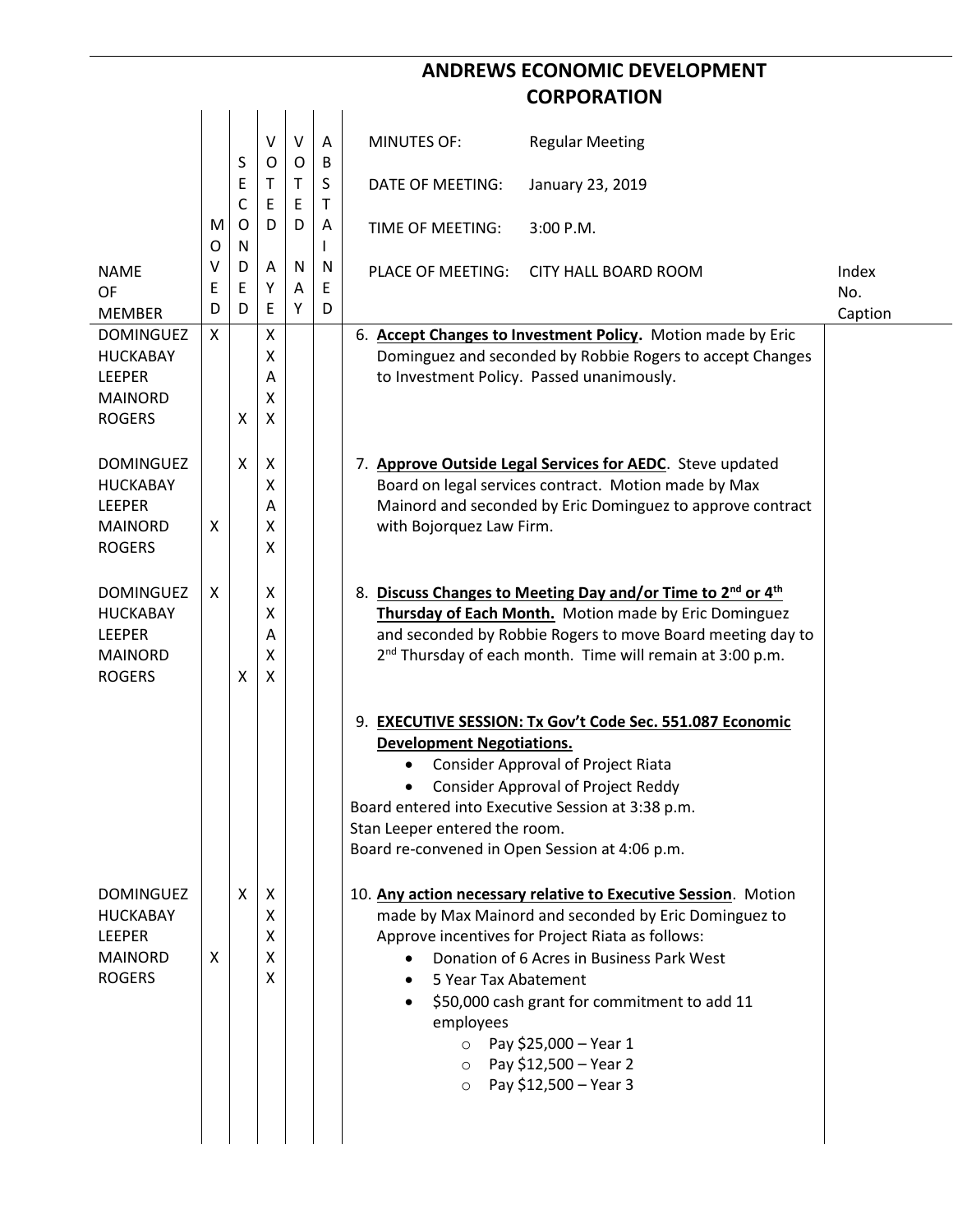## **ANDREWS ECONOMIC DEVELOPMENT CORPORATION**

|                                                                                         |                  | S              | $\sf V$<br>O          | $\vee$<br>O | A<br>B            | <b>MINUTES OF:</b><br><b>Regular Meeting</b>                                                                                                                                                                                                                                                                                                                                                                                                                                                                                                                                                                                                                                                                                                                                                |                         |
|-----------------------------------------------------------------------------------------|------------------|----------------|-----------------------|-------------|-------------------|---------------------------------------------------------------------------------------------------------------------------------------------------------------------------------------------------------------------------------------------------------------------------------------------------------------------------------------------------------------------------------------------------------------------------------------------------------------------------------------------------------------------------------------------------------------------------------------------------------------------------------------------------------------------------------------------------------------------------------------------------------------------------------------------|-------------------------|
|                                                                                         |                  | Ε<br>C         | т<br>Ε                | T<br>E      | S<br>$\mathsf{T}$ | DATE OF MEETING:<br>January 23, 2019                                                                                                                                                                                                                                                                                                                                                                                                                                                                                                                                                                                                                                                                                                                                                        |                         |
|                                                                                         | M<br>O           | O<br>${\sf N}$ | D                     | D           | A                 | 3:00 P.M.<br>TIME OF MEETING:                                                                                                                                                                                                                                                                                                                                                                                                                                                                                                                                                                                                                                                                                                                                                               |                         |
| <b>NAME</b><br><b>OF</b><br><b>MEMBER</b>                                               | $\vee$<br>E<br>D | D<br>E<br>D    | Α<br>Υ<br>E           | N<br>Α<br>Y | N<br>E<br>D       | PLACE OF MEETING:<br><b>CITY HALL BOARD ROOM</b>                                                                                                                                                                                                                                                                                                                                                                                                                                                                                                                                                                                                                                                                                                                                            | Index<br>No.<br>Caption |
| <b>DOMINGUEZ</b><br><b>HUCKABAY</b><br><b>LEEPER</b><br><b>MAINORD</b><br><b>ROGERS</b> | X                | X              | Χ<br>χ<br>Α<br>X<br>X |             |                   | 6. Accept Changes to Investment Policy. Motion made by Eric<br>Dominguez and seconded by Robbie Rogers to accept Changes<br>to Investment Policy. Passed unanimously.                                                                                                                                                                                                                                                                                                                                                                                                                                                                                                                                                                                                                       |                         |
| <b>DOMINGUEZ</b><br><b>HUCKABAY</b><br><b>LEEPER</b><br><b>MAINORD</b><br><b>ROGERS</b> | X                | X              | X<br>χ<br>Α<br>x<br>x |             |                   | 7. Approve Outside Legal Services for AEDC. Steve updated<br>Board on legal services contract. Motion made by Max<br>Mainord and seconded by Eric Dominguez to approve contract<br>with Bojorquez Law Firm.                                                                                                                                                                                                                                                                                                                                                                                                                                                                                                                                                                                 |                         |
| <b>DOMINGUEZ</b><br><b>HUCKABAY</b><br><b>LEEPER</b><br><b>MAINORD</b><br><b>ROGERS</b> | X                | Χ              | X<br>χ<br>Α<br>χ<br>Χ |             |                   | 8. Discuss Changes to Meeting Day and/or Time to 2 <sup>nd</sup> or 4 <sup>th</sup><br>Thursday of Each Month. Motion made by Eric Dominguez<br>and seconded by Robbie Rogers to move Board meeting day to<br>2 <sup>nd</sup> Thursday of each month. Time will remain at 3:00 p.m.                                                                                                                                                                                                                                                                                                                                                                                                                                                                                                         |                         |
| <b>DOMINGUEZ</b><br><b>HUCKABAY</b><br><b>LEEPER</b><br><b>MAINORD</b><br><b>ROGERS</b> | X                | X              | Χ<br>X<br>X<br>X<br>X |             |                   | 9. EXECUTIVE SESSION: Tx Gov't Code Sec. 551.087 Economic<br><b>Development Negotiations.</b><br><b>Consider Approval of Project Riata</b><br>$\bullet$<br><b>Consider Approval of Project Reddy</b><br>٠<br>Board entered into Executive Session at 3:38 p.m.<br>Stan Leeper entered the room.<br>Board re-convened in Open Session at 4:06 p.m.<br>10. Any action necessary relative to Executive Session. Motion<br>made by Max Mainord and seconded by Eric Dominguez to<br>Approve incentives for Project Riata as follows:<br>Donation of 6 Acres in Business Park West<br>$\bullet$<br>5 Year Tax Abatement<br>\$50,000 cash grant for commitment to add 11<br>employees<br>Pay \$25,000 - Year 1<br>$\circ$<br>Pay \$12,500 - Year 2<br>$\circ$<br>Pay \$12,500 - Year 3<br>$\circ$ |                         |